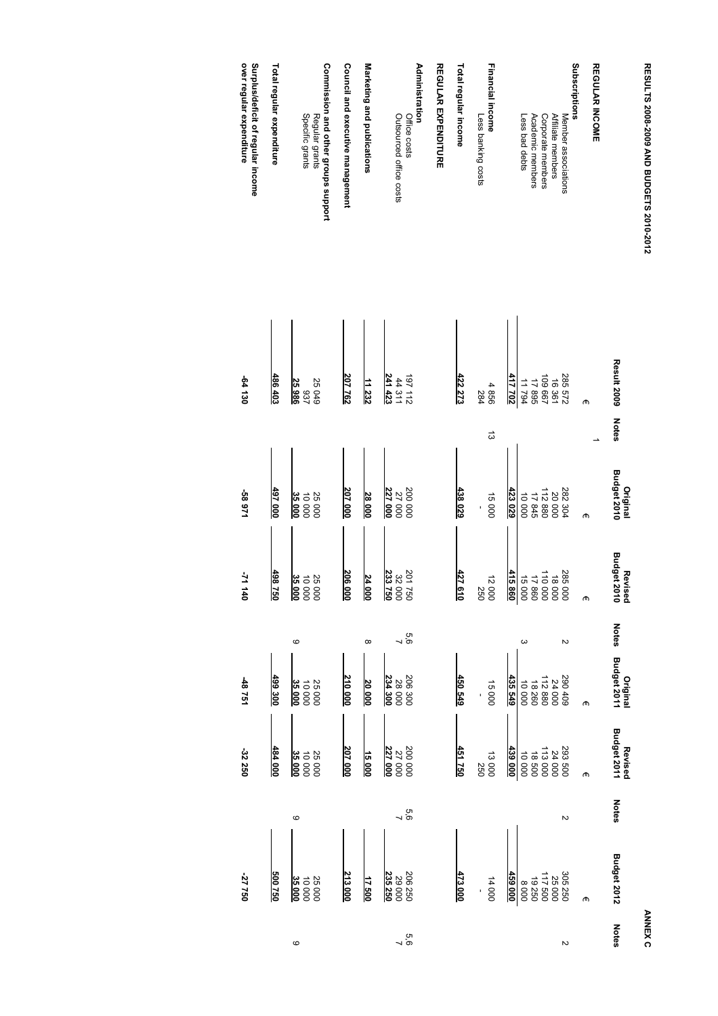| j        |
|----------|
|          |
|          |
|          |
| ï        |
|          |
|          |
|          |
|          |
|          |
|          |
|          |
| I        |
| :        |
|          |
|          |
|          |
|          |
|          |
|          |
|          |
| į        |
|          |
|          |
|          |
| $\vdots$ |
|          |
|          |
|          |
|          |
|          |
|          |

**ANNEX C ANNEX C**

|                                                                          |                               |              | Original                                            | Revised                     |              | Original                                                                      | Revised                                       |                  |                                                 |                  |
|--------------------------------------------------------------------------|-------------------------------|--------------|-----------------------------------------------------|-----------------------------|--------------|-------------------------------------------------------------------------------|-----------------------------------------------|------------------|-------------------------------------------------|------------------|
|                                                                          | <b>Result 2009</b>            | <b>Notes</b> | <b>Budget 2010</b>                                  | <b>Budget 2010</b>          | <b>Notes</b> | <b>Budget 2011</b>                                                            | <b>Budget 2011</b>                            | <b>Notes</b>     | <b>Budget 2012</b>                              | Notes            |
| <b>REGULAR INCOME</b>                                                    |                               |              |                                                     |                             |              |                                                                               |                                               |                  |                                                 |                  |
|                                                                          | መ                             |              | መ                                                   | መ                           |              | መ                                                                             | መ                                             |                  | መ                                               |                  |
| Subscriptions                                                            |                               |              |                                                     |                             |              |                                                                               |                                               |                  |                                                 |                  |
| Member associations                                                      |                               |              |                                                     | 285000                      | Z            |                                                                               |                                               | Z                |                                                 | $\sim$           |
| Affiliate members                                                        | 285 572<br>255 572            |              |                                                     | 18 000<br>110 000<br>17 860 |              |                                                                               |                                               |                  |                                                 |                  |
| Corporate members                                                        | 109 667                       |              |                                                     |                             |              |                                                                               |                                               |                  |                                                 |                  |
| Academic members                                                         |                               |              |                                                     |                             |              |                                                                               |                                               |                  |                                                 |                  |
| Less bad debts                                                           | 17 895<br>11 794              |              | 282 304<br>20 20 88<br>20 88<br>11 7 9 00<br>10 000 | 15000                       | ω            | $\begin{array}{r} 290409 \\ 24000 \\ 112880 \\ 18260 \\ 10000 \\ \end{array}$ | 293<br>24 000<br>24 000<br>11 8 500<br>10 000 |                  | 305 250<br>255 000<br>255 000<br>8 000<br>8 000 |                  |
|                                                                          | 417 702                       |              | 423 029                                             | 415 860                     |              | 435 549                                                                       | 439000                                        |                  | 459 000                                         |                  |
| Financial income<br>Less banking costs                                   | 4856<br>284                   | ದ            | 15000                                               | 12000<br>250                |              | 15000                                                                         | 13000<br>250                                  |                  | 14 000                                          |                  |
| Total regular income                                                     | 422273                        |              | 438029                                              | 427610                      |              | 450 549                                                                       | 451750                                        |                  | 473000                                          |                  |
| <b>REGULAR EXPENDITURE</b>                                               |                               |              |                                                     |                             |              |                                                                               |                                               |                  |                                                 |                  |
| <b>Administration</b><br>Office costs                                    |                               |              |                                                     | 201750                      | 9'9          | 206300                                                                        |                                               |                  |                                                 |                  |
| Outsourced office costs                                                  | 241423<br>$197112$<br>44 311  |              | 227 000<br>200 000<br>27 000                        | 233750<br>32000             | ┙            | 234 300<br>28000                                                              | 200 000<br>27 000<br>227 000                  | 5<br>0<br>7<br>0 | 306 250<br>29 000<br>235 250                    | 5<br>0<br>7<br>0 |
| Marketing and publications                                               | 11 232                        |              | 28 000                                              | 24 000                      | $\infty$     | 20000                                                                         | 15000                                         |                  | 17 500                                          |                  |
| Council and executive management                                         | 207 762                       |              | 207 000                                             | 206 000                     |              | 210000                                                                        | <u>207 000</u>                                |                  | 213 000                                         |                  |
| Commission and other groups support<br>Specific grants<br>Regular grants | <b>25 049</b><br>25986<br>759 |              | 35000<br>25000<br>10000                             | 25 000<br>35 000<br>0000    | ဖ            | 25000<br>35000<br>10000                                                       | $10000$<br>35 000<br>25000                    | ဖ                | 35000<br><b>25000</b><br>10000                  | ဖ                |
| Total regular expenditure                                                | 486 403                       |              | 497 000                                             | 498750                      |              | 499300                                                                        | 484 000                                       |                  | 500750                                          |                  |
| over regular expenditure<br>Surplus/deficit of regular income            | 021 130                       |              | 58 971                                              | -71 140                     |              | 12784                                                                         | -32250                                        |                  | -27 750                                         |                  |
|                                                                          |                               |              |                                                     |                             |              |                                                                               |                                               |                  |                                                 |                  |